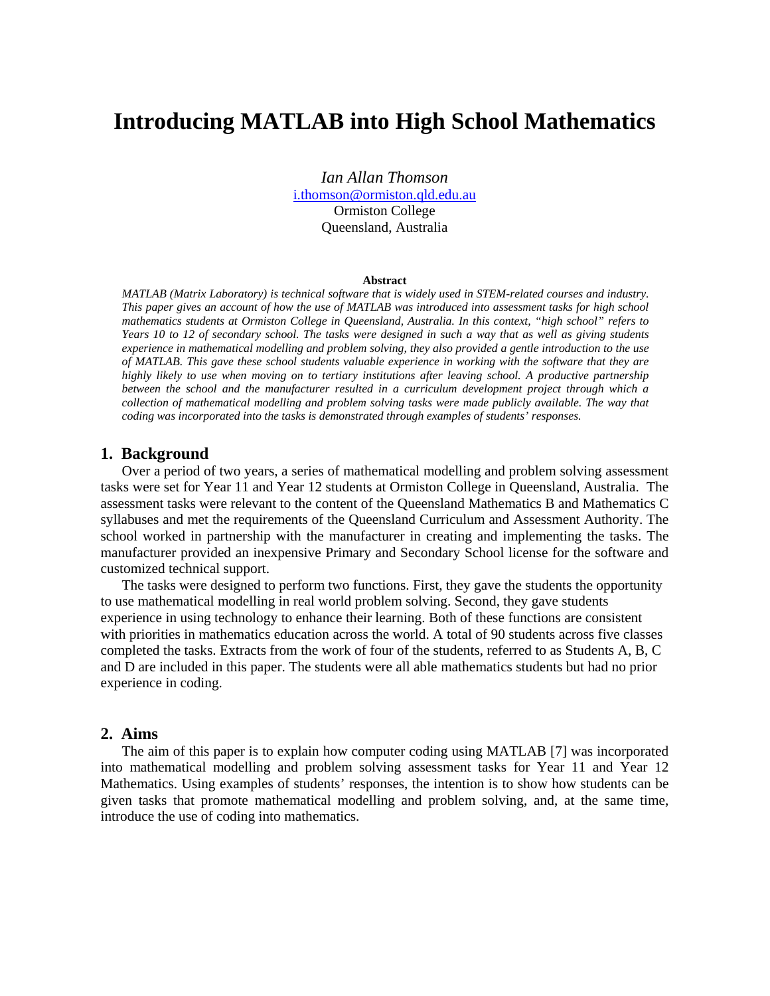# **Introducing MATLAB into High School Mathematics**

*Ian Allan Thomson* i.thomson@ormiston.qld.edu.au Ormiston College Queensland, Australia

#### **Abstract**

*MATLAB (Matrix Laboratory) is technical software that is widely used in STEM-related courses and industry. This paper gives an account of how the use of MATLAB was introduced into assessment tasks for high school mathematics students at Ormiston College in Queensland, Australia. In this context, "high school" refers to Years 10 to 12 of secondary school. The tasks were designed in such a way that as well as giving students experience in mathematical modelling and problem solving, they also provided a gentle introduction to the use of MATLAB. This gave these school students valuable experience in working with the software that they are highly likely to use when moving on to tertiary institutions after leaving school. A productive partnership between the school and the manufacturer resulted in a curriculum development project through which a collection of mathematical modelling and problem solving tasks were made publicly available. The way that coding was incorporated into the tasks is demonstrated through examples of students' responses.* 

## **1. Background**

Over a period of two years, a series of mathematical modelling and problem solving assessment tasks were set for Year 11 and Year 12 students at Ormiston College in Queensland, Australia. The assessment tasks were relevant to the content of the Queensland Mathematics B and Mathematics C syllabuses and met the requirements of the Queensland Curriculum and Assessment Authority. The school worked in partnership with the manufacturer in creating and implementing the tasks. The manufacturer provided an inexpensive Primary and Secondary School license for the software and customized technical support.

The tasks were designed to perform two functions. First, they gave the students the opportunity to use mathematical modelling in real world problem solving. Second, they gave students experience in using technology to enhance their learning. Both of these functions are consistent with priorities in mathematics education across the world. A total of 90 students across five classes completed the tasks. Extracts from the work of four of the students, referred to as Students A, B, C and D are included in this paper. The students were all able mathematics students but had no prior experience in coding.

## **2. Aims**

The aim of this paper is to explain how computer coding using MATLAB [7] was incorporated into mathematical modelling and problem solving assessment tasks for Year 11 and Year 12 Mathematics. Using examples of students' responses, the intention is to show how students can be given tasks that promote mathematical modelling and problem solving, and, at the same time, introduce the use of coding into mathematics.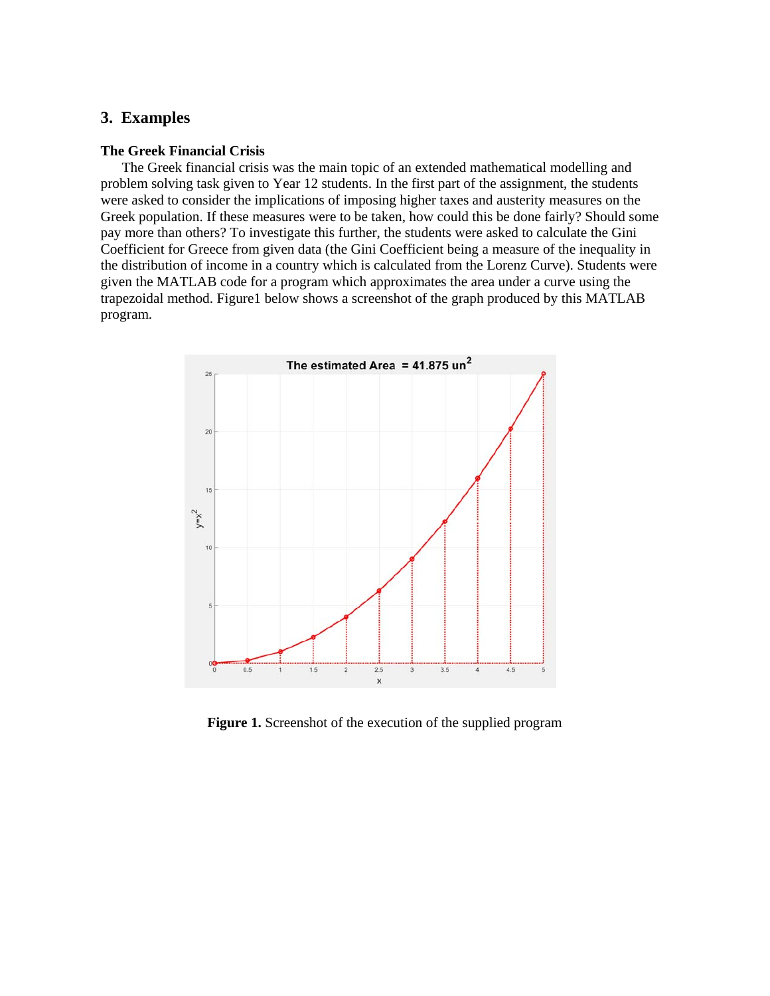## **3. Examples**

### **The Greek Financial Crisis**

The Greek financial crisis was the main topic of an extended mathematical modelling and problem solving task given to Year 12 students. In the first part of the assignment, the students were asked to consider the implications of imposing higher taxes and austerity measures on the Greek population. If these measures were to be taken, how could this be done fairly? Should some pay more than others? To investigate this further, the students were asked to calculate the Gini Coefficient for Greece from given data (the Gini Coefficient being a measure of the inequality in the distribution of income in a country which is calculated from the Lorenz Curve). Students were given the MATLAB code for a program which approximates the area under a curve using the trapezoidal method. Figure1 below shows a screenshot of the graph produced by this MATLAB program.



**Figure 1.** Screenshot of the execution of the supplied program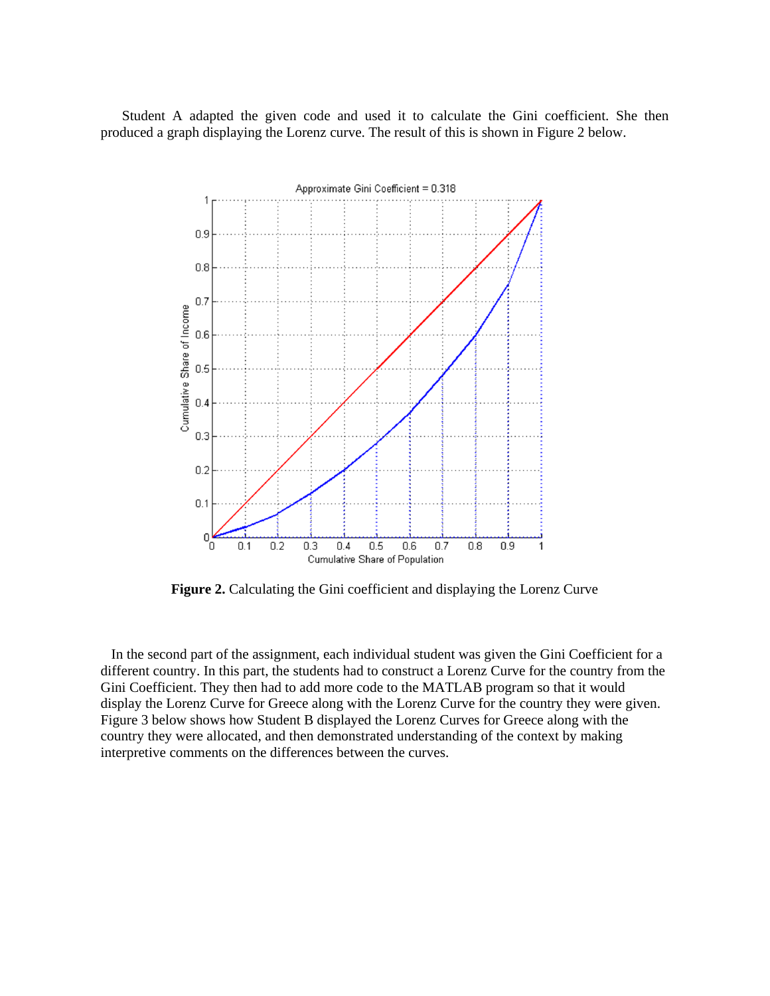Student A adapted the given code and used it to calculate the Gini coefficient. She then produced a graph displaying the Lorenz curve. The result of this is shown in Figure 2 below.



**Figure 2.** Calculating the Gini coefficient and displaying the Lorenz Curve

 In the second part of the assignment, each individual student was given the Gini Coefficient for a different country. In this part, the students had to construct a Lorenz Curve for the country from the Gini Coefficient. They then had to add more code to the MATLAB program so that it would display the Lorenz Curve for Greece along with the Lorenz Curve for the country they were given. Figure 3 below shows how Student B displayed the Lorenz Curves for Greece along with the country they were allocated, and then demonstrated understanding of the context by making interpretive comments on the differences between the curves.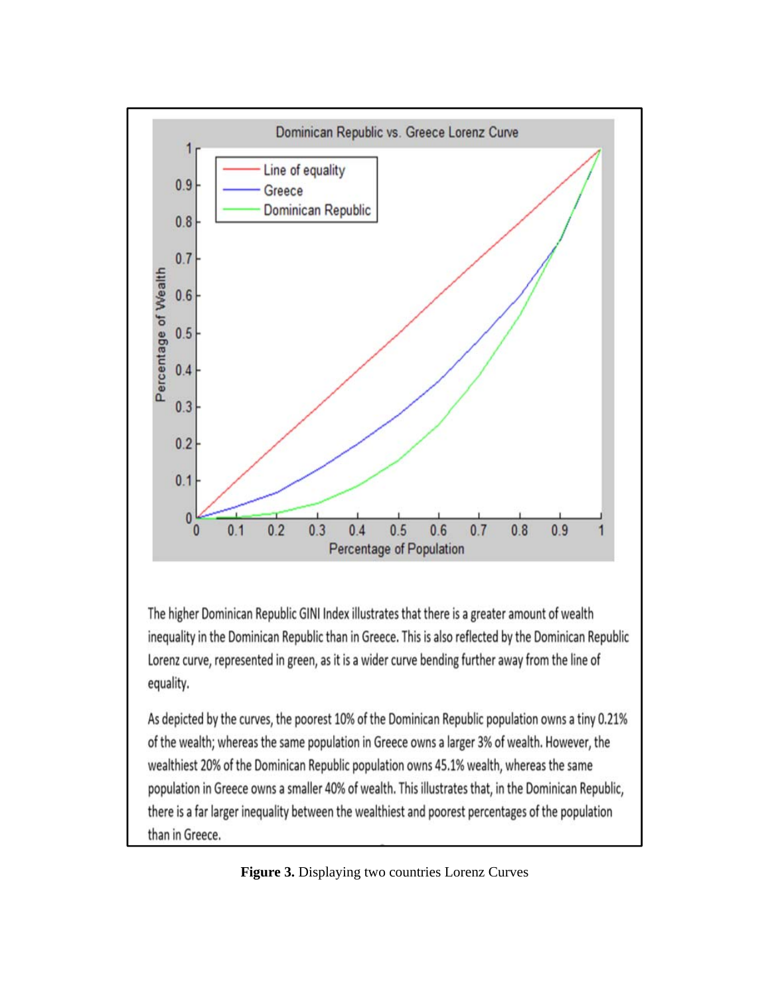

The higher Dominican Republic GINI Index illustrates that there is a greater amount of wealth inequality in the Dominican Republic than in Greece. This is also reflected by the Dominican Republic Lorenz curve, represented in green, as it is a wider curve bending further away from the line of equality.

As depicted by the curves, the poorest 10% of the Dominican Republic population owns a tiny 0.21% of the wealth; whereas the same population in Greece owns a larger 3% of wealth. However, the wealthiest 20% of the Dominican Republic population owns 45.1% wealth, whereas the same population in Greece owns a smaller 40% of wealth. This illustrates that, in the Dominican Republic, there is a far larger inequality between the wealthiest and poorest percentages of the population than in Greece.

**Figure 3.** Displaying two countries Lorenz Curves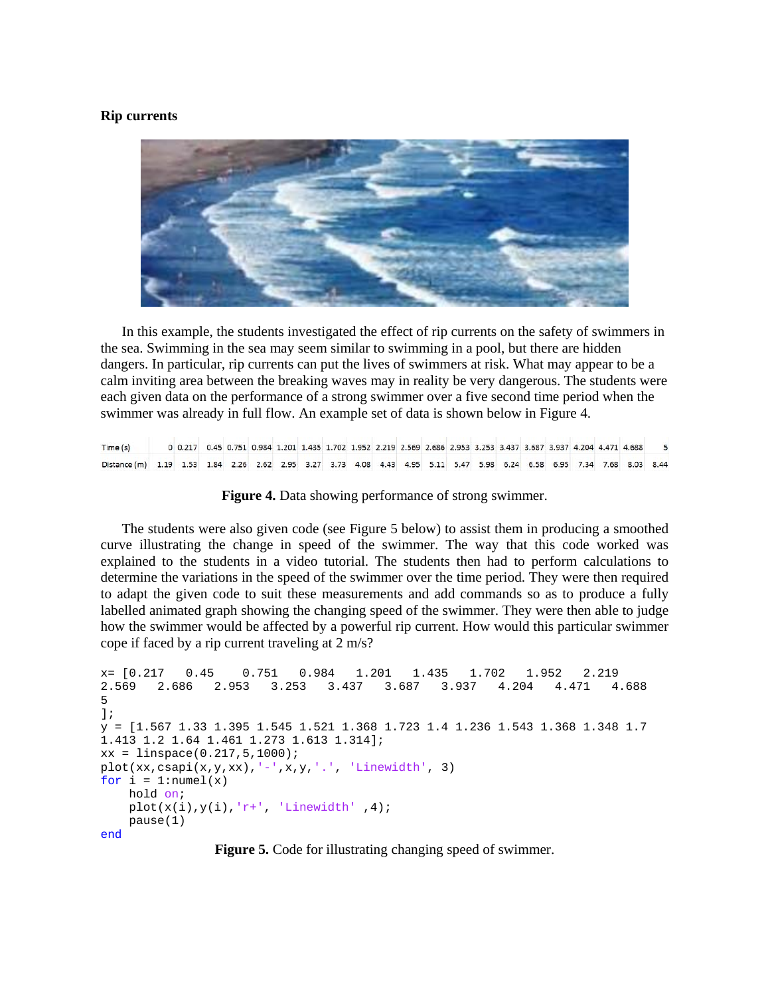#### **Rip currents**



In this example, the students investigated the effect of rip currents on the safety of swimmers in the sea. Swimming in the sea may seem similar to swimming in a pool, but there are hidden dangers. In particular, rip currents can put the lives of swimmers at risk. What may appear to be a calm inviting area between the breaking waves may in reality be very dangerous. The students were each given data on the performance of a strong swimmer over a five second time period when the swimmer was already in full flow. An example set of data is shown below in Figure 4.

0 0.217 0.45 0.751 0.984 1.201 1.435 1.702 1.952 2.219 2.569 2.686 2.953 3.253 3.437 3.687 3.937 4.204 4.471 4.688 Time (s)  $\overline{\phantom{a}}$ Distance (m) 1.19 1.53 1.84 2.26 2.62 2.95 3.27 3.73 4.08 4.43 4.95 5.11 5.47 5.98 6.24 6.58 6.95 7.34 7.68 8.03 8.44

**Figure 4.** Data showing performance of strong swimmer.

The students were also given code (see Figure 5 below) to assist them in producing a smoothed curve illustrating the change in speed of the swimmer. The way that this code worked was explained to the students in a video tutorial. The students then had to perform calculations to determine the variations in the speed of the swimmer over the time period. They were then required to adapt the given code to suit these measurements and add commands so as to produce a fully labelled animated graph showing the changing speed of the swimmer. They were then able to judge how the swimmer would be affected by a powerful rip current. How would this particular swimmer cope if faced by a rip current traveling at 2 m/s?

```
x= [0.217 0.45 0.751 0.984 1.201 1.435 1.702 1.952 2.219 
2.569 2.686 2.953 3.253 3.437 3.687 3.937 4.204 4.471 4.688 
5 
];
y = [1.567 1.33 1.395 1.545 1.521 1.368 1.723 1.4 1.236 1.543 1.368 1.348 1.7 
1.413 1.2 1.64 1.461 1.273 1.613 1.314]; 
xx = linespace(0.217, 5, 1000);plot(xx,csapi(x,y,xx),'-',x,y,''.', 'Linewidth', 3)for i = 1:numel(x) hold on; 
   plot(x(i),y(i),'r^{+}, 'Linear', 'Linewidth' ,4);
    pause(1) 
end
```
**Figure 5.** Code for illustrating changing speed of swimmer.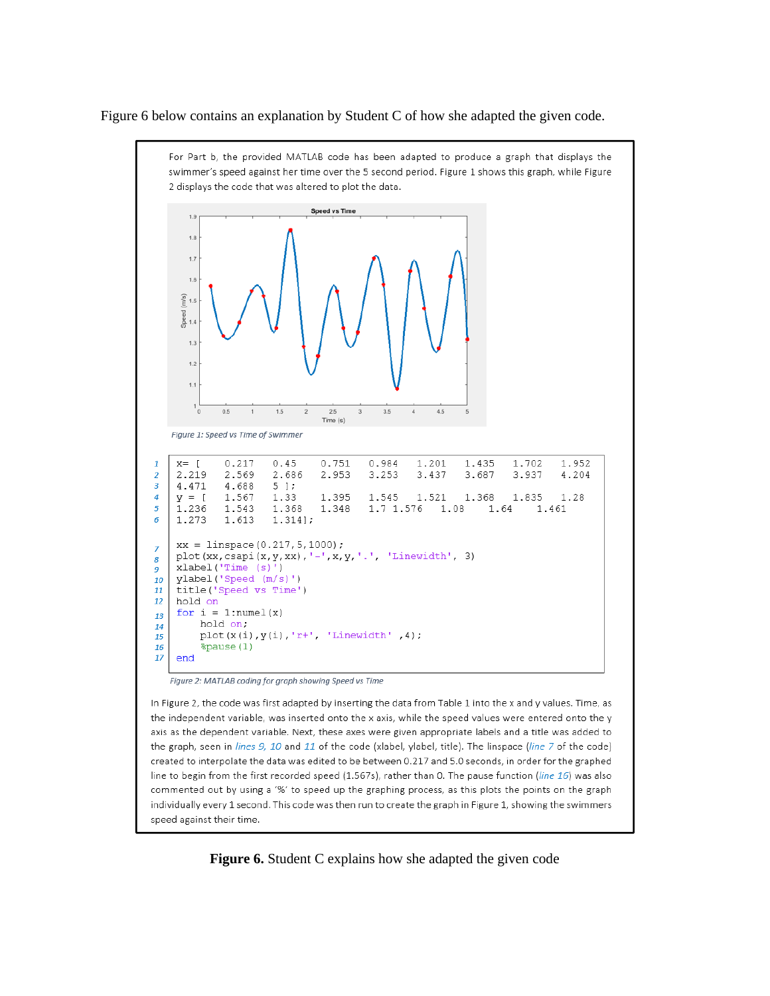Figure 6 below contains an explanation by Student C of how she adapted the given code.



Figure 2: MATLAB coding for graph showing Speed vs Time

In Figure 2, the code was first adapted by inserting the data from Table 1 into the x and y values. Time, as the independent variable, was inserted onto the x axis, while the speed values were entered onto the y axis as the dependent variable. Next, these axes were given appropriate labels and a title was added to the graph, seen in lines 9, 10 and 11 of the code (xlabel, ylabel, title). The linspace (line 7 of the code) created to interpolate the data was edited to be between 0.217 and 5.0 seconds, in order for the graphed line to begin from the first recorded speed (1.567s), rather than 0. The pause function (line 16) was also commented out by using a '%' to speed up the graphing process, as this plots the points on the graph individually every 1 second. This code was then run to create the graph in Figure 1, showing the swimmers speed against their time.

**Figure 6.** Student C explains how she adapted the given code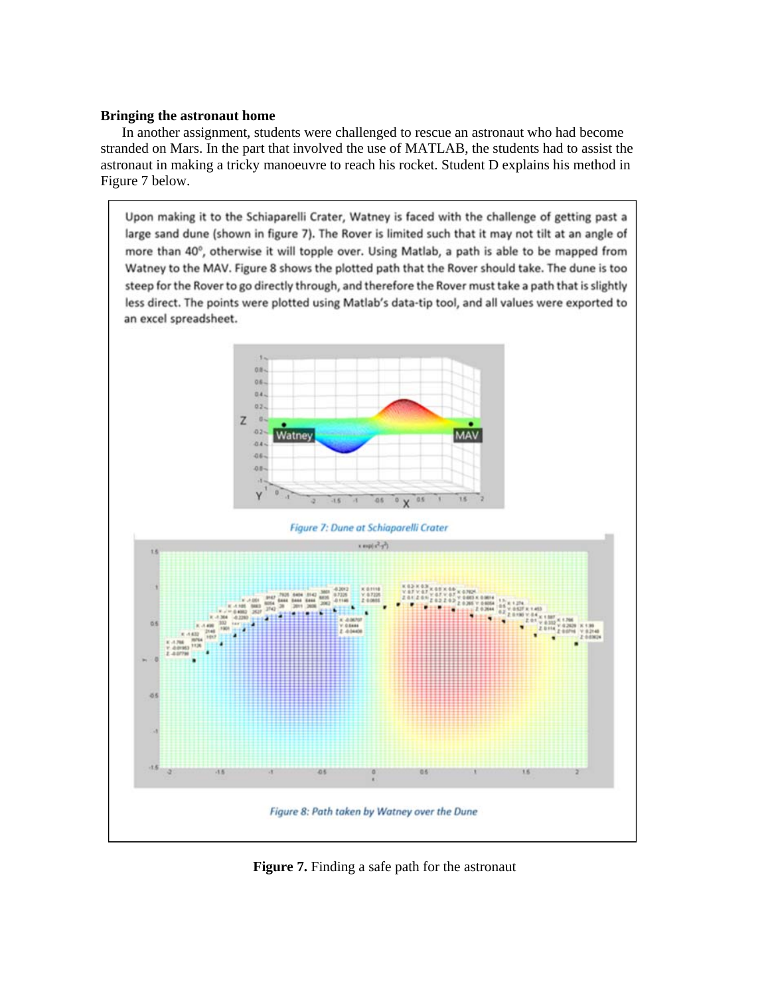#### **Bringing the astronaut home**

In another assignment, students were challenged to rescue an astronaut who had become stranded on Mars. In the part that involved the use of MATLAB, the students had to assist the astronaut in making a tricky manoeuvre to reach his rocket. Student D explains his method in Figure 7 below.

Upon making it to the Schiaparelli Crater, Watney is faced with the challenge of getting past a large sand dune (shown in figure 7). The Rover is limited such that it may not tilt at an angle of more than 40°, otherwise it will topple over. Using Matlab, a path is able to be mapped from Watney to the MAV. Figure 8 shows the plotted path that the Rover should take. The dune is too steep for the Rover to go directly through, and therefore the Rover must take a path that is slightly less direct. The points were plotted using Matlab's data-tip tool, and all values were exported to an excel spreadsheet.



**Figure 7.** Finding a safe path for the astronaut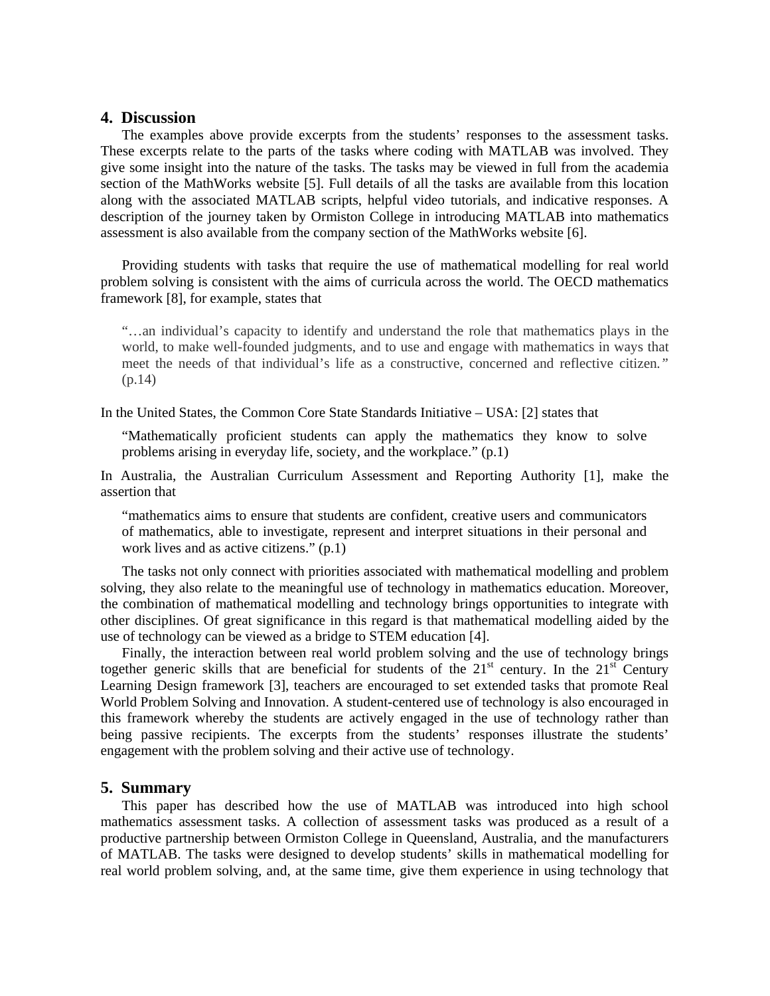## **4. Discussion**

The examples above provide excerpts from the students' responses to the assessment tasks. These excerpts relate to the parts of the tasks where coding with MATLAB was involved. They give some insight into the nature of the tasks. The tasks may be viewed in full from the academia section of the MathWorks website [5]. Full details of all the tasks are available from this location along with the associated MATLAB scripts, helpful video tutorials, and indicative responses. A description of the journey taken by Ormiston College in introducing MATLAB into mathematics assessment is also available from the company section of the MathWorks website [6].

Providing students with tasks that require the use of mathematical modelling for real world problem solving is consistent with the aims of curricula across the world. The OECD mathematics framework [8], for example, states that

"…an individual's capacity to identify and understand the role that mathematics plays in the world, to make well-founded judgments, and to use and engage with mathematics in ways that meet the needs of that individual's life as a constructive, concerned and reflective citizen*."*  (p.14)

In the United States, the Common Core State Standards Initiative – USA: [2] states that

"Mathematically proficient students can apply the mathematics they know to solve problems arising in everyday life, society, and the workplace." (p.1)

In Australia, the Australian Curriculum Assessment and Reporting Authority [1], make the assertion that

"mathematics aims to ensure that students are confident, creative users and communicators of mathematics, able to investigate, represent and interpret situations in their personal and work lives and as active citizens." (p.1)

The tasks not only connect with priorities associated with mathematical modelling and problem solving, they also relate to the meaningful use of technology in mathematics education. Moreover, the combination of mathematical modelling and technology brings opportunities to integrate with other disciplines. Of great significance in this regard is that mathematical modelling aided by the use of technology can be viewed as a bridge to STEM education [4].

Finally, the interaction between real world problem solving and the use of technology brings together generic skills that are beneficial for students of the  $21<sup>st</sup>$  century. In the  $21<sup>st</sup>$  Century Learning Design framework [3], teachers are encouraged to set extended tasks that promote Real World Problem Solving and Innovation. A student-centered use of technology is also encouraged in this framework whereby the students are actively engaged in the use of technology rather than being passive recipients. The excerpts from the students' responses illustrate the students' engagement with the problem solving and their active use of technology.

## **5. Summary**

This paper has described how the use of MATLAB was introduced into high school mathematics assessment tasks. A collection of assessment tasks was produced as a result of a productive partnership between Ormiston College in Queensland, Australia, and the manufacturers of MATLAB. The tasks were designed to develop students' skills in mathematical modelling for real world problem solving, and, at the same time, give them experience in using technology that